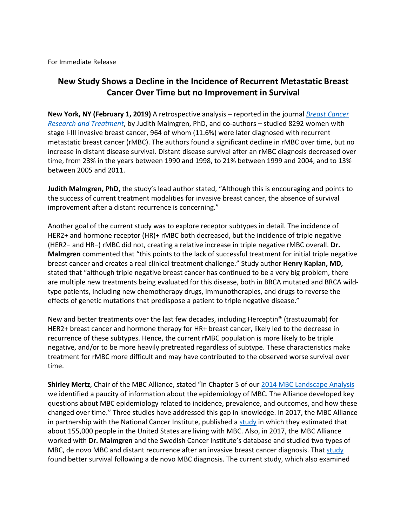For Immediate Release

## **New Study Shows a Decline in the Incidence of Recurrent Metastatic Breast Cancer Over Time but no Improvement in Survival**

**New York, NY (February 1, 2019)** A retrospective analysis – reported in the journal *[Breast Cancer](https://link.springer.com/article/10.1007/s10549-018-05090-y)  [Research and Treatment](https://link.springer.com/article/10.1007/s10549-018-05090-y)*, by Judith Malmgren, PhD, and co-authors – studied 8292 women with stage I-III invasive breast cancer, 964 of whom (11.6%) were later diagnosed with recurrent metastatic breast cancer (rMBC). The authors found a significant decline in rMBC over time, but no increase in distant disease survival. Distant disease survival after an rMBC diagnosis decreased over time, from 23% in the years between 1990 and 1998, to 21% between 1999 and 2004, and to 13% between 2005 and 2011.

**Judith Malmgren, PhD,** the study's lead author stated, "Although this is encouraging and points to the success of current treatment modalities for invasive breast cancer, the absence of survival improvement after a distant recurrence is concerning."

Another goal of the current study was to explore receptor subtypes in detail. The incidence of HER2+ and hormone receptor (HR)+ rMBC both decreased, but the incidence of triple negative (HER2− and HR−) rMBC did not, creating a relative increase in triple negative rMBC overall. **Dr. Malmgren** commented that "this points to the lack of successful treatment for initial triple negative breast cancer and creates a real clinical treatment challenge." Study author **Henry Kaplan, MD,** stated that "although triple negative breast cancer has continued to be a very big problem, there are multiple new treatments being evaluated for this disease, both in BRCA mutated and BRCA wildtype patients, including new chemotherapy drugs, immunotherapies, and drugs to reverse the effects of genetic mutations that predispose a patient to triple negative disease."

New and better treatments over the last few decades, including Herceptin® (trastuzumab) for HER2+ breast cancer and hormone therapy for HR+ breast cancer, likely led to the decrease in recurrence of these subtypes. Hence, the current rMBC population is more likely to be triple negative, and/or to be more heavily pretreated regardless of subtype. These characteristics make treatment for rMBC more difficult and may have contributed to the observed worse survival over time.

**Shirley Mertz**, Chair of the MBC Alliance, stated "In Chapter 5 of our [2014 MBC Landscape Analysis](https://www.mbcalliance.org/research/landscape-analysis) we identified a paucity of information about the epidemiology of MBC. The Alliance developed key questions about MBC epidemiology related to incidence, prevalence, and outcomes, and how these changed over time." Three studies have addressed this gap in knowledge. In 2017, the MBC Alliance in partnership with the National Cancer Institute, published a [study](http://cebp.aacrjournals.org/content/26/6/809) in which they estimated that about 155,000 people in the United States are living with MBC. Also, in 2017, the MBC Alliance worked with **Dr. Malmgren** and the Swedish Cancer Institute's database and studied two types of MBC, de novo MBC and distant recurrence after an invasive breast cancer diagnosis. That [study](https://link.springer.com/article/10.1007%2Fs10549-017-4529-5) found better survival following a de novo MBC diagnosis. The current study, which also examined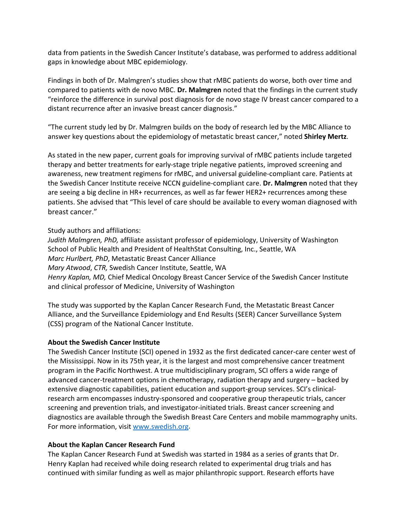data from patients in the Swedish Cancer Institute's database, was performed to address additional gaps in knowledge about MBC epidemiology.

Findings in both of Dr. Malmgren's studies show that rMBC patients do worse, both over time and compared to patients with de novo MBC. **Dr. Malmgren** noted that the findings in the current study "reinforce the difference in survival post diagnosis for de novo stage IV breast cancer compared to a distant recurrence after an invasive breast cancer diagnosis."

"The current study led by Dr. Malmgren builds on the body of research led by the MBC Alliance to answer key questions about the epidemiology of metastatic breast cancer," noted **Shirley Mertz**.

As stated in the new paper, current goals for improving survival of rMBC patients include targeted therapy and better treatments for early-stage triple negative patients, improved screening and awareness, new treatment regimens for rMBC, and universal guideline-compliant care. Patients at the Swedish Cancer Institute receive NCCN guideline-compliant care. **Dr. Malmgren** noted that they are seeing a big decline in HR+ recurrences, as well as far fewer HER2+ recurrences among these patients. She advised that "This level of care should be available to every woman diagnosed with breast cancer."

Study authors and affiliations:

*Judith Malmgren, PhD,* affiliate assistant professor of epidemiology, University of Washington School of Public Health and President of HealthStat Consulting, Inc., Seattle, WA *Marc Hurlbert, PhD*, Metastatic Breast Cancer Alliance *Mary Atwood*, *CTR,* Swedish Cancer Institute, Seattle, WA *Henry Kaplan, MD,* Chief Medical Oncology Breast Cancer Service of the Swedish Cancer Institute and clinical professor of Medicine, University of Washington

The study was supported by the Kaplan Cancer Research Fund, the Metastatic Breast Cancer Alliance, and the Surveillance Epidemiology and End Results (SEER) Cancer Surveillance System (CSS) program of the National Cancer Institute.

## **About the Swedish Cancer Institute**

The Swedish Cancer Institute (SCI) opened in 1932 as the first dedicated cancer-care center west of the Mississippi. Now in its 75th year, it is the largest and most comprehensive cancer treatment program in the Pacific Northwest. A true multidisciplinary program, SCI offers a wide range of advanced cancer-treatment options in chemotherapy, radiation therapy and surgery – backed by extensive diagnostic capabilities, patient education and support-group services. SCI's clinicalresearch arm encompasses industry-sponsored and cooperative group therapeutic trials, cancer screening and prevention trials, and investigator-initiated trials. Breast cancer screening and diagnostics are available through the Swedish Breast Care Centers and mobile mammography units. For more information, visit [www.swedish.org.](http://www.swedish.org/)

## **About the Kaplan Cancer Research Fund**

The Kaplan Cancer Research Fund at Swedish was started in 1984 as a series of grants that Dr. Henry Kaplan had received while doing research related to experimental drug trials and has continued with similar funding as well as major philanthropic support. Research efforts have